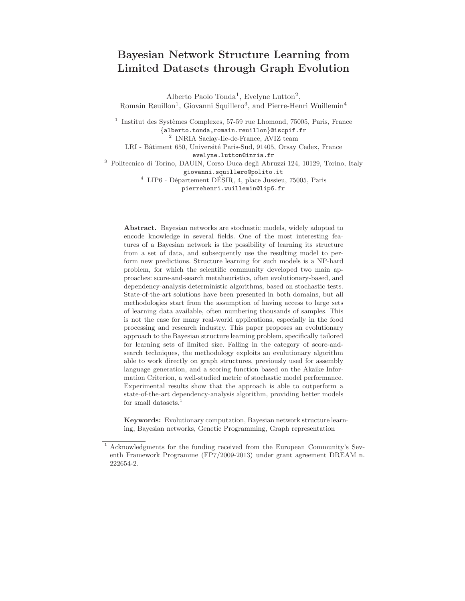# Bayesian Network Structure Learning from Limited Datasets through Graph Evolution

Alberto Paolo Tonda<sup>1</sup>, Evelyne Lutton<sup>2</sup>, Romain Reuillon<sup>1</sup>, Giovanni Squillero<sup>3</sup>, and Pierre-Henri Wuillemin<sup>4</sup>

 $^1$ Institut des Systèmes Complexes, 57-59 rue Lhomond, 75005, Paris, France {alberto.tonda,romain.reuillon}@iscpif.fr 2 INRIA Saclay-Ile-de-France, AVIZ team LRI - Bâtiment 650, Université Paris-Sud, 91405, Orsay Cedex, France evelyne.lutton@inria.fr <sup>3</sup> Politecnico di Torino, DAUIN, Corso Duca degli Abruzzi 124, 10129, Torino, Italy

giovanni.squillero@polito.it  $4$  LIP6 - Département DÉSIR, 4, place Jussieu, 75005, Paris

pierrehenri.wuillemin@lip6.fr

Abstract. Bayesian networks are stochastic models, widely adopted to encode knowledge in several fields. One of the most interesting features of a Bayesian network is the possibility of learning its structure from a set of data, and subsequently use the resulting model to perform new predictions. Structure learning for such models is a NP-hard problem, for which the scientific community developed two main approaches: score-and-search metaheuristics, often evolutionary-based, and dependency-analysis deterministic algorithms, based on stochastic tests. State-of-the-art solutions have been presented in both domains, but all methodologies start from the assumption of having access to large sets of learning data available, often numbering thousands of samples. This is not the case for many real-world applications, especially in the food processing and research industry. This paper proposes an evolutionary approach to the Bayesian structure learning problem, specifically tailored for learning sets of limited size. Falling in the category of score-andsearch techniques, the methodology exploits an evolutionary algorithm able to work directly on graph structures, previously used for assembly language generation, and a scoring function based on the Akaike Information Criterion, a well-studied metric of stochastic model performance. Experimental results show that the approach is able to outperform a state-of-the-art dependency-analysis algorithm, providing better models for small datasets.<sup>1</sup>

Keywords: Evolutionary computation, Bayesian network structure learning, Bayesian networks, Genetic Programming, Graph representation

<sup>1</sup> Acknowledgments for the funding received from the European Community's Seventh Framework Programme (FP7/2009-2013) under grant agreement DREAM n. 222654-2.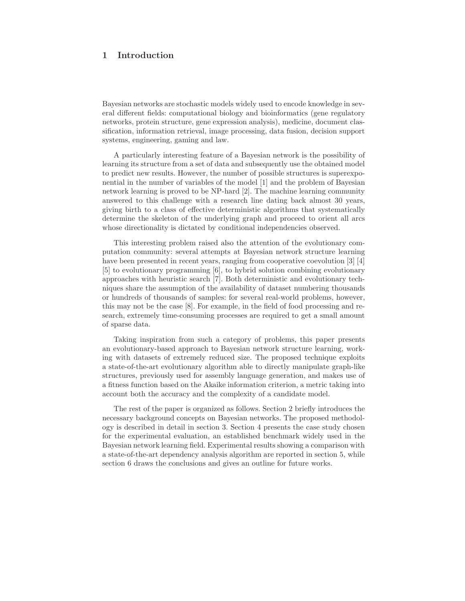# 1 Introduction

Bayesian networks are stochastic models widely used to encode knowledge in several different fields: computational biology and bioinformatics (gene regulatory networks, protein structure, gene expression analysis), medicine, document classification, information retrieval, image processing, data fusion, decision support systems, engineering, gaming and law.

A particularly interesting feature of a Bayesian network is the possibility of learning its structure from a set of data and subsequently use the obtained model to predict new results. However, the number of possible structures is superexponential in the number of variables of the model [1] and the problem of Bayesian network learning is proved to be NP-hard [2]. The machine learning community answered to this challenge with a research line dating back almost 30 years, giving birth to a class of effective deterministic algorithms that systematically determine the skeleton of the underlying graph and proceed to orient all arcs whose directionality is dictated by conditional independencies observed.

This interesting problem raised also the attention of the evolutionary computation community: several attempts at Bayesian network structure learning have been presented in recent years, ranging from cooperative coevolution [3] [4] [5] to evolutionary programming [6], to hybrid solution combining evolutionary approaches with heuristic search [7]. Both deterministic and evolutionary techniques share the assumption of the availability of dataset numbering thousands or hundreds of thousands of samples: for several real-world problems, however, this may not be the case [8]. For example, in the field of food processing and research, extremely time-consuming processes are required to get a small amount of sparse data.

Taking inspiration from such a category of problems, this paper presents an evolutionary-based approach to Bayesian network structure learning, working with datasets of extremely reduced size. The proposed technique exploits a state-of-the-art evolutionary algorithm able to directly manipulate graph-like structures, previously used for assembly language generation, and makes use of a fitness function based on the Akaike information criterion, a metric taking into account both the accuracy and the complexity of a candidate model.

The rest of the paper is organized as follows. Section 2 briefly introduces the necessary background concepts on Bayesian networks. The proposed methodology is described in detail in section 3. Section 4 presents the case study chosen for the experimental evaluation, an established benchmark widely used in the Bayesian network learning field. Experimental results showing a comparison with a state-of-the-art dependency analysis algorithm are reported in section 5, while section 6 draws the conclusions and gives an outline for future works.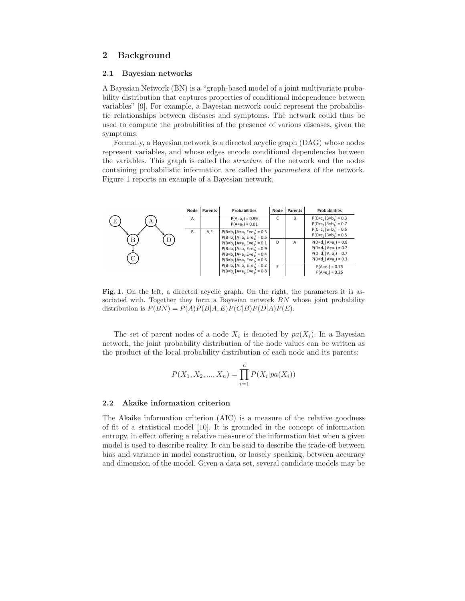# 2 Background

#### 2.1 Bayesian networks

A Bayesian Network (BN) is a "graph-based model of a joint multivariate probability distribution that captures properties of conditional independence between variables" [9]. For example, a Bayesian network could represent the probabilistic relationships between diseases and symptoms. The network could thus be used to compute the probabilities of the presence of various diseases, given the symptoms.

Formally, a Bayesian network is a directed acyclic graph (DAG) whose nodes represent variables, and whose edges encode conditional dependencies between the variables. This graph is called the structure of the network and the nodes containing probabilistic information are called the parameters of the network. Figure 1 reports an example of a Bayesian network.



Fig. 1. On the left, a directed acyclic graph. On the right, the parameters it is associated with. Together they form a Bayesian network BN whose joint probability distribution is  $P(BN) = P(A)P(B|A, E)P(C|B)P(D|A)P(E)$ .

The set of parent nodes of a node  $X_i$  is denoted by  $pa(X_i)$ . In a Bayesian network, the joint probability distribution of the node values can be written as the product of the local probability distribution of each node and its parents:

$$
P(X_1, X_2, ..., X_n) = \prod_{i=1}^n P(X_i | pa(X_i))
$$

#### 2.2 Akaike information criterion

The Akaike information criterion (AIC) is a measure of the relative goodness of fit of a statistical model [10]. It is grounded in the concept of information entropy, in effect offering a relative measure of the information lost when a given model is used to describe reality. It can be said to describe the trade-off between bias and variance in model construction, or loosely speaking, between accuracy and dimension of the model. Given a data set, several candidate models may be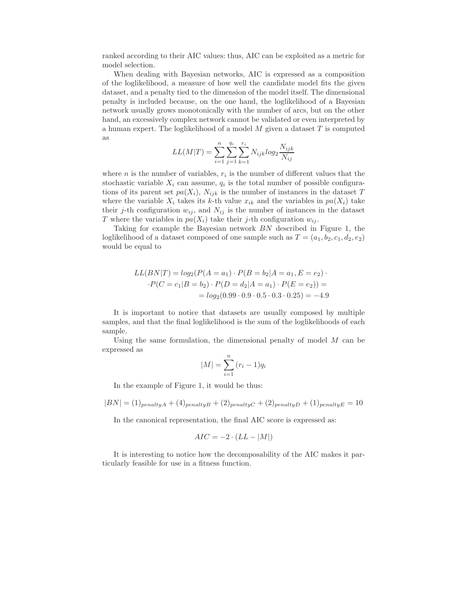ranked according to their AIC values: thus, AIC can be exploited as a metric for model selection.

When dealing with Bayesian networks, AIC is expressed as a composition of the loglikelihood, a measure of how well the candidate model fits the given dataset, and a penalty tied to the dimension of the model itself. The dimensional penalty is included because, on the one hand, the loglikelihood of a Bayesian network usually grows monotonically with the number of arcs, but on the other hand, an excessively complex network cannot be validated or even interpreted by a human expert. The loglikelihood of a model  $M$  given a dataset  $T$  is computed as

$$
LL(M|T) = \sum_{i=1}^{n} \sum_{j=1}^{q_i} \sum_{k=1}^{r_i} N_{ijk} log_2 \frac{N_{ijk}}{N_{ij}}
$$

where  $n$  is the number of variables,  $r_i$  is the number of different values that the stochastic variable  $X_i$  can assume,  $q_i$  is the total number of possible configurations of its parent set  $pa(X_i)$ ,  $N_{ijk}$  is the number of instances in the dataset T where the variable  $X_i$  takes its k-th value  $x_{ik}$  and the variables in  $pa(X_i)$  take their j-th configuration  $w_{ij}$ , and  $N_{ij}$  is the number of instances in the dataset T where the variables in  $pa(X_i)$  take their j-th configuration  $w_{ij}$ .

Taking for example the Bayesian network BN described in Figure 1, the loglikelihood of a dataset composed of one sample such as  $T = (a_1, b_2, c_1, d_2, e_2)$ would be equal to

$$
LL(BN|T) = log_2(P(A = a_1) \cdot P(B = b_2|A = a_1, E = e_2) \cdot P(C = c_1|B = b_2) \cdot P(D = d_2|A = a_1) \cdot P(E = e_2)) =
$$
  
= log<sub>2</sub>(0.99 \cdot 0.9 \cdot 0.5 \cdot 0.3 \cdot 0.25) = -4.9

It is important to notice that datasets are usually composed by multiple samples, and that the final loglikelihood is the sum of the loglikelihoods of each sample.

Using the same formulation, the dimensional penalty of model  $M$  can be expressed as

$$
|M| = \sum_{i=1}^{n} (r_i - 1)q_i
$$

In the example of Figure 1, it would be thus:

 $|BN| = (1)_{penaltyA} + (4)_{penaltyB} + (2)_{penaltyC} + (2)_{penaltyD} + (1)_{penaltyE} = 10$ 

In the canonical representation, the final AIC score is expressed as:

$$
AIC = -2 \cdot (LL - |M|)
$$

It is interesting to notice how the decomposability of the AIC makes it particularly feasible for use in a fitness function.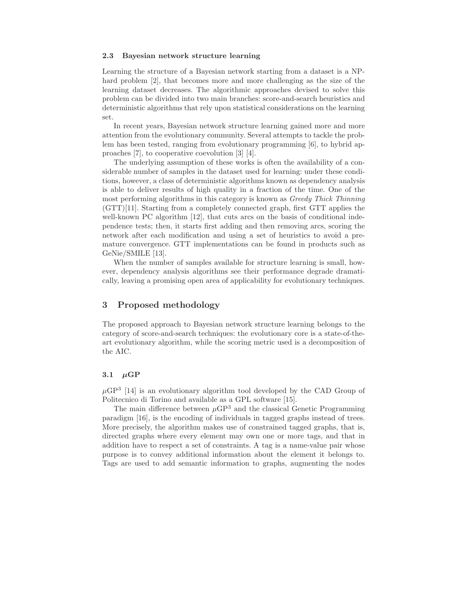#### 2.3 Bayesian network structure learning

Learning the structure of a Bayesian network starting from a dataset is a NPhard problem [2], that becomes more and more challenging as the size of the learning dataset decreases. The algorithmic approaches devised to solve this problem can be divided into two main branches: score-and-search heuristics and deterministic algorithms that rely upon statistical considerations on the learning set.

In recent years, Bayesian network structure learning gained more and more attention from the evolutionary community. Several attempts to tackle the problem has been tested, ranging from evolutionary programming [6], to hybrid approaches [7], to cooperative coevolution [3] [4].

The underlying assumption of these works is often the availability of a considerable number of samples in the dataset used for learning: under these conditions, however, a class of deterministic algorithms known as dependency analysis is able to deliver results of high quality in a fraction of the time. One of the most performing algorithms in this category is known as Greedy Thick Thinning (GTT)[11]. Starting from a completely connected graph, first GTT applies the well-known PC algorithm [12], that cuts arcs on the basis of conditional independence tests; then, it starts first adding and then removing arcs, scoring the network after each modification and using a set of heuristics to avoid a premature convergence. GTT implementations can be found in products such as GeNie/SMILE [13].

When the number of samples available for structure learning is small, however, dependency analysis algorithms see their performance degrade dramatically, leaving a promising open area of applicability for evolutionary techniques.

# 3 Proposed methodology

The proposed approach to Bayesian network structure learning belongs to the category of score-and-search techniques: the evolutionary core is a state-of-theart evolutionary algorithm, while the scoring metric used is a decomposition of the AIC.

## 3.1  $\mu$ GP

 $\mu$ GP<sup>3</sup> [14] is an evolutionary algorithm tool developed by the CAD Group of Politecnico di Torino and available as a GPL software [15].

The main difference between  $\mu$ GP<sup>3</sup> and the classical Genetic Programming paradigm [16], is the encoding of individuals in tagged graphs instead of trees. More precisely, the algorithm makes use of constrained tagged graphs, that is, directed graphs where every element may own one or more tags, and that in addition have to respect a set of constraints. A tag is a name-value pair whose purpose is to convey additional information about the element it belongs to. Tags are used to add semantic information to graphs, augmenting the nodes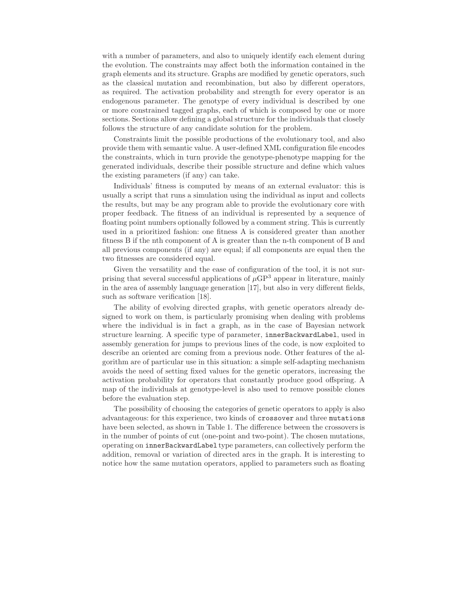with a number of parameters, and also to uniquely identify each element during the evolution. The constraints may affect both the information contained in the graph elements and its structure. Graphs are modified by genetic operators, such as the classical mutation and recombination, but also by different operators, as required. The activation probability and strength for every operator is an endogenous parameter. The genotype of every individual is described by one or more constrained tagged graphs, each of which is composed by one or more sections. Sections allow defining a global structure for the individuals that closely follows the structure of any candidate solution for the problem.

Constraints limit the possible productions of the evolutionary tool, and also provide them with semantic value. A user-defined XML configuration file encodes the constraints, which in turn provide the genotype-phenotype mapping for the generated individuals, describe their possible structure and define which values the existing parameters (if any) can take.

Individuals' fitness is computed by means of an external evaluator: this is usually a script that runs a simulation using the individual as input and collects the results, but may be any program able to provide the evolutionary core with proper feedback. The fitness of an individual is represented by a sequence of floating point numbers optionally followed by a comment string. This is currently used in a prioritized fashion: one fitness A is considered greater than another fitness B if the nth component of A is greater than the n-th component of B and all previous components (if any) are equal; if all components are equal then the two fitnesses are considered equal.

Given the versatility and the ease of configuration of the tool, it is not surprising that several successful applications of  $\mu$ GP<sup>3</sup> appear in literature, mainly in the area of assembly language generation [17], but also in very different fields, such as software verification [18].

The ability of evolving directed graphs, with genetic operators already designed to work on them, is particularly promising when dealing with problems where the individual is in fact a graph, as in the case of Bayesian network structure learning. A specific type of parameter, innerBackwardLabel, used in assembly generation for jumps to previous lines of the code, is now exploited to describe an oriented arc coming from a previous node. Other features of the algorithm are of particular use in this situation: a simple self-adapting mechanism avoids the need of setting fixed values for the genetic operators, increasing the activation probability for operators that constantly produce good offspring. A map of the individuals at genotype-level is also used to remove possible clones before the evaluation step.

The possibility of choosing the categories of genetic operators to apply is also advantageous: for this experience, two kinds of crossover and three mutations have been selected, as shown in Table 1. The difference between the crossovers is in the number of points of cut (one-point and two-point). The chosen mutations, operating on innerBackwardLabel type parameters, can collectively perform the addition, removal or variation of directed arcs in the graph. It is interesting to notice how the same mutation operators, applied to parameters such as floating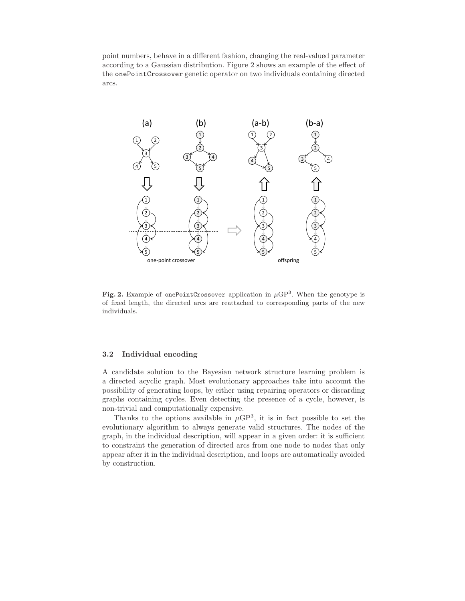point numbers, behave in a different fashion, changing the real-valued parameter according to a Gaussian distribution. Figure 2 shows an example of the effect of the onePointCrossover genetic operator on two individuals containing directed arcs.



Fig. 2. Example of onePointCrossover application in  $\mu$ GP<sup>3</sup>. When the genotype is of fixed length, the directed arcs are reattached to corresponding parts of the new individuals.

#### 3.2 Individual encoding

A candidate solution to the Bayesian network structure learning problem is a directed acyclic graph. Most evolutionary approaches take into account the possibility of generating loops, by either using repairing operators or discarding graphs containing cycles. Even detecting the presence of a cycle, however, is non-trivial and computationally expensive.

Thanks to the options available in  $\mu$ GP<sup>3</sup>, it is in fact possible to set the evolutionary algorithm to always generate valid structures. The nodes of the graph, in the individual description, will appear in a given order: it is sufficient to constraint the generation of directed arcs from one node to nodes that only appear after it in the individual description, and loops are automatically avoided by construction.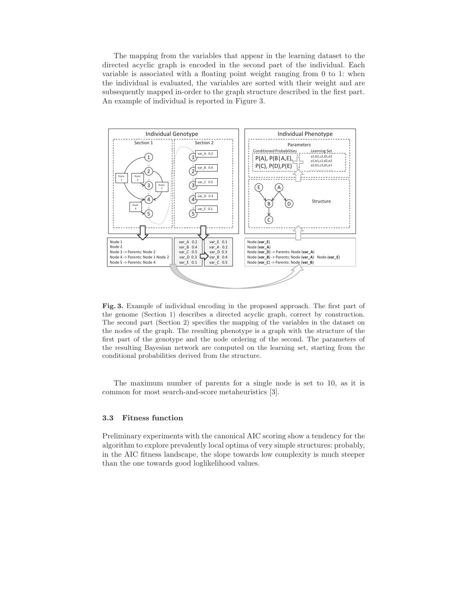The mapping from the variables that appear in the learning dataset to the directed acyclic graph is encoded in the second part of the individual. Each variable is associated with a floating point weight ranging from 0 to 1: when the individual is evaluated, the variables are sorted with their weight and are subsequently mapped in-order to the graph structure described in the first part. An example of individual is reported in Figure 3.



Fig. 3. Example of individual encoding in the proposed approach. The first part of the genome (Section 1) describes a directed acyclic graph, correct by construction. The second part (Section 2) specifies the mapping of the variables in the dataset on the nodes of the graph. The resulting phenotype is a graph with the structure of the first part of the genotype and the node ordering of the second. The parameters of the resulting Bayesian network are computed on the learning set, starting from the conditional probabilities derived from the structure.

The maximum number of parents for a single node is set to 10, as it is common for most search-and-score metaheuristics [3].

#### 3.3 Fitness function

Preliminary experiments with the canonical AIC scoring show a tendency for the algorithm to explore prevalently local optima of very simple structures: probably, in the AIC fitness landscape, the slope towards low complexity is much steeper than the one towards good loglikelihood values.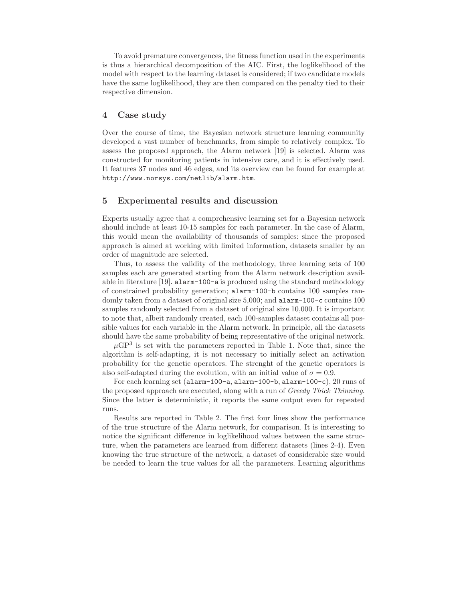To avoid premature convergences, the fitness function used in the experiments is thus a hierarchical decomposition of the AIC. First, the loglikelihood of the model with respect to the learning dataset is considered; if two candidate models have the same loglikelihood, they are then compared on the penalty tied to their respective dimension.

#### 4 Case study

Over the course of time, the Bayesian network structure learning community developed a vast number of benchmarks, from simple to relatively complex. To assess the proposed approach, the Alarm network [19] is selected. Alarm was constructed for monitoring patients in intensive care, and it is effectively used. It features 37 nodes and 46 edges, and its overview can be found for example at http://www.norsys.com/netlib/alarm.htm.

### 5 Experimental results and discussion

Experts usually agree that a comprehensive learning set for a Bayesian network should include at least 10-15 samples for each parameter. In the case of Alarm, this would mean the availability of thousands of samples: since the proposed approach is aimed at working with limited information, datasets smaller by an order of magnitude are selected.

Thus, to assess the validity of the methodology, three learning sets of 100 samples each are generated starting from the Alarm network description available in literature [19]. alarm-100-a is produced using the standard methodology of constrained probability generation; alarm-100-b contains 100 samples randomly taken from a dataset of original size 5,000; and alarm-100-c contains 100 samples randomly selected from a dataset of original size 10,000. It is important to note that, albeit randomly created, each 100-samples dataset contains all possible values for each variable in the Alarm network. In principle, all the datasets should have the same probability of being representative of the original network.

 $\mu$ GP<sup>3</sup> is set with the parameters reported in Table 1. Note that, since the algorithm is self-adapting, it is not necessary to initially select an activation probability for the genetic operators. The strenght of the genetic operators is also self-adapted during the evolution, with an initial value of  $\sigma = 0.9$ .

For each learning set (alarm-100-a, alarm-100-b, alarm-100-c), 20 runs of the proposed approach are executed, along with a run of Greedy Thick Thinning. Since the latter is deterministic, it reports the same output even for repeated runs.

Results are reported in Table 2. The first four lines show the performance of the true structure of the Alarm network, for comparison. It is interesting to notice the significant difference in loglikelihood values between the same structure, when the parameters are learned from different datasets (lines 2-4). Even knowing the true structure of the network, a dataset of considerable size would be needed to learn the true values for all the parameters. Learning algorithms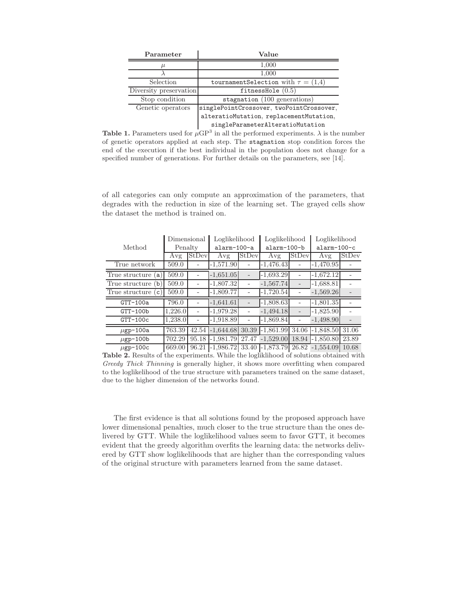| Parameter              | Value                                    |  |  |  |  |
|------------------------|------------------------------------------|--|--|--|--|
| $\mu$                  | 1,000                                    |  |  |  |  |
|                        | 1,000                                    |  |  |  |  |
| Selection              | tournamentSelection with $\tau = (1,4)$  |  |  |  |  |
| Diversity preservation | fitnessHole $(0.5)$                      |  |  |  |  |
| Stop condition         | stagnation $(100 \text{ generations})$   |  |  |  |  |
| Genetic operators      | singlePointCrossover, twoPointCrossover, |  |  |  |  |
|                        | alteratioMutation, replacementMutation,  |  |  |  |  |
|                        | singleParameterAlteratioMutation         |  |  |  |  |

**Table 1.** Parameters used for  $\mu$ GP<sup>3</sup> in all the performed experiments.  $\lambda$  is the number of genetic operators applied at each step. The stagnation stop condition forces the end of the execution if the best individual in the population does not change for a specified number of generations. For further details on the parameters, see [14].

of all categories can only compute an approximation of the parameters, that degrades with the reduction in size of the learning set. The grayed cells show the dataset the method is trained on.

|                      | Dimensional |       | Loglikelihood |       | Loglikelihood    |                | Loglikelihood |       |
|----------------------|-------------|-------|---------------|-------|------------------|----------------|---------------|-------|
| Method               | Penalty     |       | alarm-100-a   |       | alarm-100-b      |                | alarm-100-c   |       |
|                      | Avg         | StDev | Avg           | StDev | Avg              | StDev          | Avg           | StDev |
| True network         | 509.0       |       | $-1,571.90$   |       | $-1,476.43$      |                | $-1,470.95$   |       |
| True structure (a)   | 509.0       |       | $-1,651.05$   |       | $-1,693.29$      |                | $-1,672.12$   |       |
| True structure (b)   | 509.0       |       | $-1,807.32$   |       | $-1,567.74$      | $\overline{a}$ | $-1,688.81$   |       |
| True structure $(c)$ | 509.0       |       | $-1,809.77$   |       | $-1,720.54$      |                | $-1,569.26$   |       |
| $GTT-100a$           | 796.0       |       | $-1,641.61$   |       | $-1,808.63$      |                | $-1,801.35$   |       |
| $GTT-100b$           | 1,226.0     |       | $-1,979.28$   |       | $-1,494.18$      | $\overline{a}$ | $-1,825.90$   |       |
| $GTT-100c$           | 1,238.0     |       | $-1,918.89$   |       | $-1,869.84$      | $\overline{a}$ | $-1,498.90$   |       |
| $\mu$ gp-100a        | 763.39      | 42.54 | $-1.644.68$   | 30.39 | $-1.861.99$      | 34.06          | $-1.848.50$   | 31.06 |
| $\mu$ gp-100b        | 702.29      | 95.18 | $-1,981.79$   | 27.47 | $-1,529.00$      | 18.94          | $-1,850.80$   | 23.89 |
| $\mu$ gp-100c        | 669.00      | 96.21 | $-1,986.72$   |       | 33.40 - 1,873.79 | 26.82          | $-1.554.09$   | 10.68 |

Table 2. Results of the experiments. While the logliklihood of solutions obtained with Greedy Thick Thinning is generally higher, it shows more overfitting when compared to the loglikelihood of the true structure with parameters trained on the same dataset, due to the higher dimension of the networks found.

The first evidence is that all solutions found by the proposed approach have lower dimensional penalties, much closer to the true structure than the ones delivered by GTT. While the loglikelihood values seem to favor GTT, it becomes evident that the greedy algorithm overfits the learning data: the networks delivered by GTT show loglikelihoods that are higher than the corresponding values of the original structure with parameters learned from the same dataset.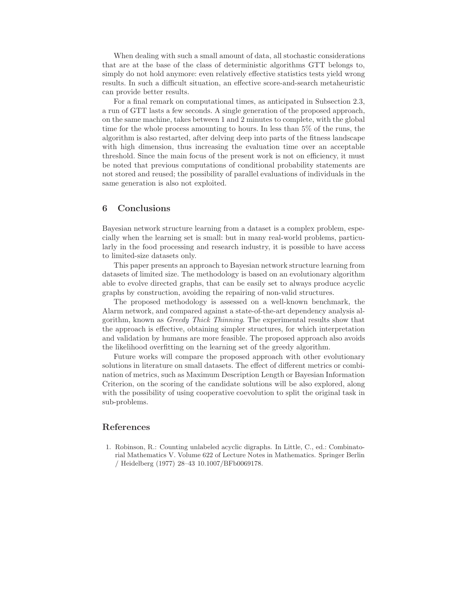When dealing with such a small amount of data, all stochastic considerations that are at the base of the class of deterministic algorithms GTT belongs to, simply do not hold anymore: even relatively effective statistics tests yield wrong results. In such a difficult situation, an effective score-and-search metaheuristic can provide better results.

For a final remark on computational times, as anticipated in Subsection 2.3, a run of GTT lasts a few seconds. A single generation of the proposed approach, on the same machine, takes between 1 and 2 minutes to complete, with the global time for the whole process amounting to hours. In less than 5% of the runs, the algorithm is also restarted, after delving deep into parts of the fitness landscape with high dimension, thus increasing the evaluation time over an acceptable threshold. Since the main focus of the present work is not on efficiency, it must be noted that previous computations of conditional probability statements are not stored and reused; the possibility of parallel evaluations of individuals in the same generation is also not exploited.

# 6 Conclusions

Bayesian network structure learning from a dataset is a complex problem, especially when the learning set is small: but in many real-world problems, particularly in the food processing and research industry, it is possible to have access to limited-size datasets only.

This paper presents an approach to Bayesian network structure learning from datasets of limited size. The methodology is based on an evolutionary algorithm able to evolve directed graphs, that can be easily set to always produce acyclic graphs by construction, avoiding the repairing of non-valid structures.

The proposed methodology is assessed on a well-known benchmark, the Alarm network, and compared against a state-of-the-art dependency analysis algorithm, known as Greedy Thick Thinning. The experimental results show that the approach is effective, obtaining simpler structures, for which interpretation and validation by humans are more feasible. The proposed approach also avoids the likelihood overfitting on the learning set of the greedy algorithm.

Future works will compare the proposed approach with other evolutionary solutions in literature on small datasets. The effect of different metrics or combination of metrics, such as Maximum Description Length or Bayesian Information Criterion, on the scoring of the candidate solutions will be also explored, along with the possibility of using cooperative coevolution to split the original task in sub-problems.

### References

1. Robinson, R.: Counting unlabeled acyclic digraphs. In Little, C., ed.: Combinatorial Mathematics V. Volume 622 of Lecture Notes in Mathematics. Springer Berlin / Heidelberg (1977) 28–43 10.1007/BFb0069178.